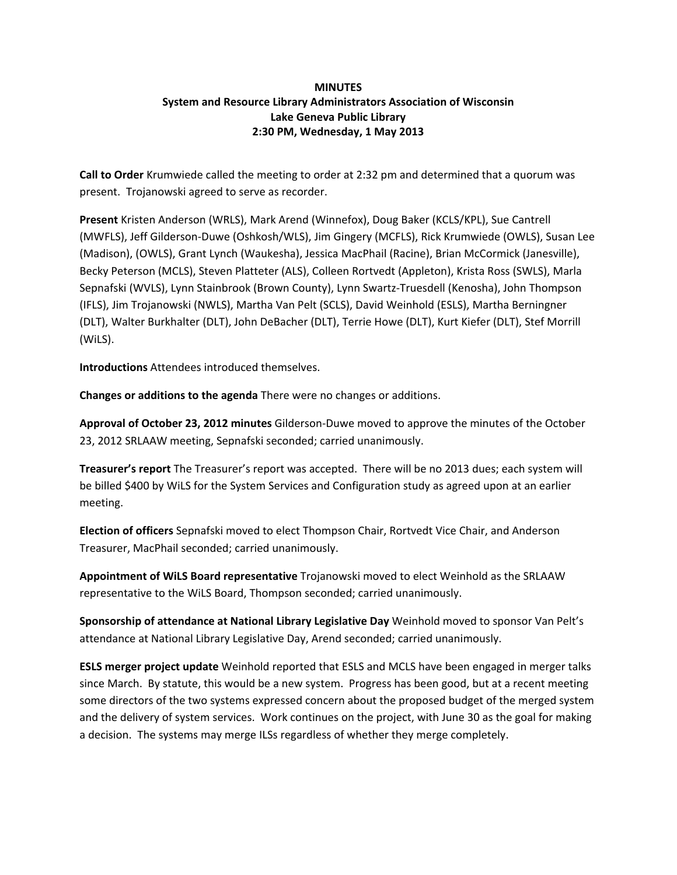## **MINUTES System and Resource Library Administrators Association of Wisconsin Lake Geneva Public Library 2:30 PM, Wednesday, 1 May 2013**

**Call to Order** Krumwiede called the meeting to order at 2:32 pm and determined that a quorum was present. Trojanowski agreed to serve as recorder.

**Present** Kristen Anderson (WRLS), Mark Arend (Winnefox), Doug Baker (KCLS/KPL), Sue Cantrell (MWFLS), Jeff Gilderson‐Duwe (Oshkosh/WLS), Jim Gingery (MCFLS), Rick Krumwiede (OWLS), Susan Lee (Madison), (OWLS), Grant Lynch (Waukesha), Jessica MacPhail (Racine), Brian McCormick (Janesville), Becky Peterson (MCLS), Steven Platteter (ALS), Colleen Rortvedt (Appleton), Krista Ross (SWLS), Marla Sepnafski (WVLS), Lynn Stainbrook (Brown County), Lynn Swartz‐Truesdell (Kenosha), John Thompson (IFLS), Jim Trojanowski (NWLS), Martha Van Pelt (SCLS), David Weinhold (ESLS), Martha Berningner (DLT), Walter Burkhalter (DLT), John DeBacher (DLT), Terrie Howe (DLT), Kurt Kiefer (DLT), Stef Morrill (WiLS).

**Introductions** Attendees introduced themselves.

**Changes or additions to the agenda** There were no changes or additions.

**Approval of October 23, 2012 minutes** Gilderson‐Duwe moved to approve the minutes of the October 23, 2012 SRLAAW meeting, Sepnafski seconded; carried unanimously.

**Treasurer's report** The Treasurer's report was accepted. There will be no 2013 dues; each system will be billed \$400 by WiLS for the System Services and Configuration study as agreed upon at an earlier meeting.

**Election of officers** Sepnafski moved to elect Thompson Chair, Rortvedt Vice Chair, and Anderson Treasurer, MacPhail seconded; carried unanimously.

**Appointment of WiLS Board representative** Trojanowski moved to elect Weinhold as the SRLAAW representative to the WiLS Board, Thompson seconded; carried unanimously.

**Sponsorship of attendance at National Library Legislative Day** Weinhold moved to sponsor Van Pelt's attendance at National Library Legislative Day, Arend seconded; carried unanimously.

**ESLS merger project update** Weinhold reported that ESLS and MCLS have been engaged in merger talks since March. By statute, this would be a new system. Progress has been good, but at a recent meeting some directors of the two systems expressed concern about the proposed budget of the merged system and the delivery of system services. Work continues on the project, with June 30 as the goal for making a decision. The systems may merge ILSs regardless of whether they merge completely.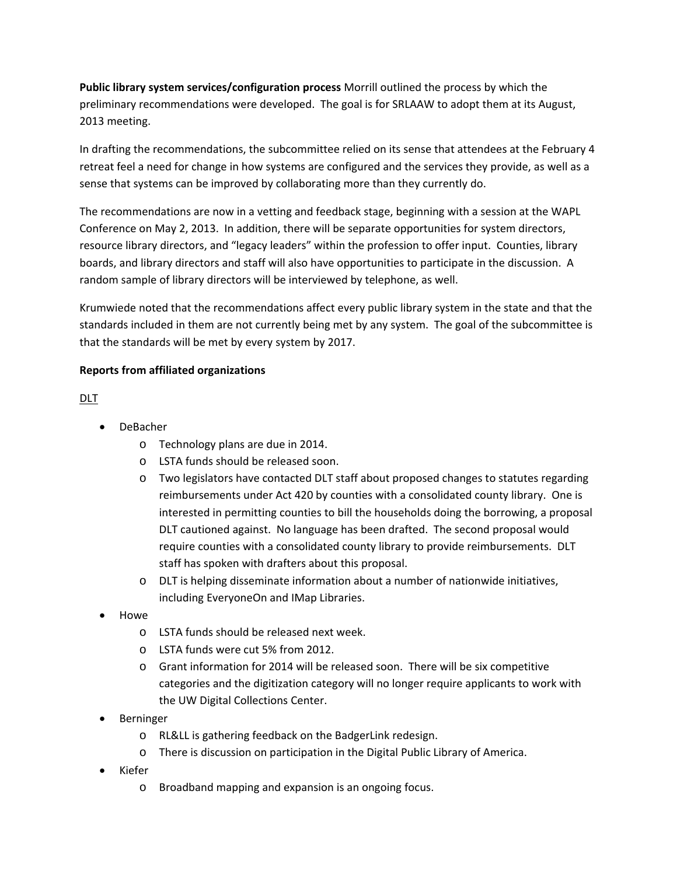**Public library system services/configuration process** Morrill outlined the process by which the preliminary recommendations were developed. The goal is for SRLAAW to adopt them at its August, 2013 meeting.

In drafting the recommendations, the subcommittee relied on its sense that attendees at the February 4 retreat feel a need for change in how systems are configured and the services they provide, as well as a sense that systems can be improved by collaborating more than they currently do.

The recommendations are now in a vetting and feedback stage, beginning with a session at the WAPL Conference on May 2, 2013. In addition, there will be separate opportunities for system directors, resource library directors, and "legacy leaders" within the profession to offer input. Counties, library boards, and library directors and staff will also have opportunities to participate in the discussion. A random sample of library directors will be interviewed by telephone, as well.

Krumwiede noted that the recommendations affect every public library system in the state and that the standards included in them are not currently being met by any system. The goal of the subcommittee is that the standards will be met by every system by 2017.

#### **Reports from affiliated organizations**

## DLT

- DeBacher
	- o Technology plans are due in 2014.
	- o LSTA funds should be released soon.
	- o Two legislators have contacted DLT staff about proposed changes to statutes regarding reimbursements under Act 420 by counties with a consolidated county library. One is interested in permitting counties to bill the households doing the borrowing, a proposal DLT cautioned against. No language has been drafted. The second proposal would require counties with a consolidated county library to provide reimbursements. DLT staff has spoken with drafters about this proposal.
	- o DLT is helping disseminate information about a number of nationwide initiatives, including EveryoneOn and IMap Libraries.
- Howe
	- o LSTA funds should be released next week.
	- o LSTA funds were cut 5% from 2012.
	- o Grant information for 2014 will be released soon. There will be six competitive categories and the digitization category will no longer require applicants to work with the UW Digital Collections Center.
- Berninger
	- o RL&LL is gathering feedback on the BadgerLink redesign.
	- o There is discussion on participation in the Digital Public Library of America.
- Kiefer
	- o Broadband mapping and expansion is an ongoing focus.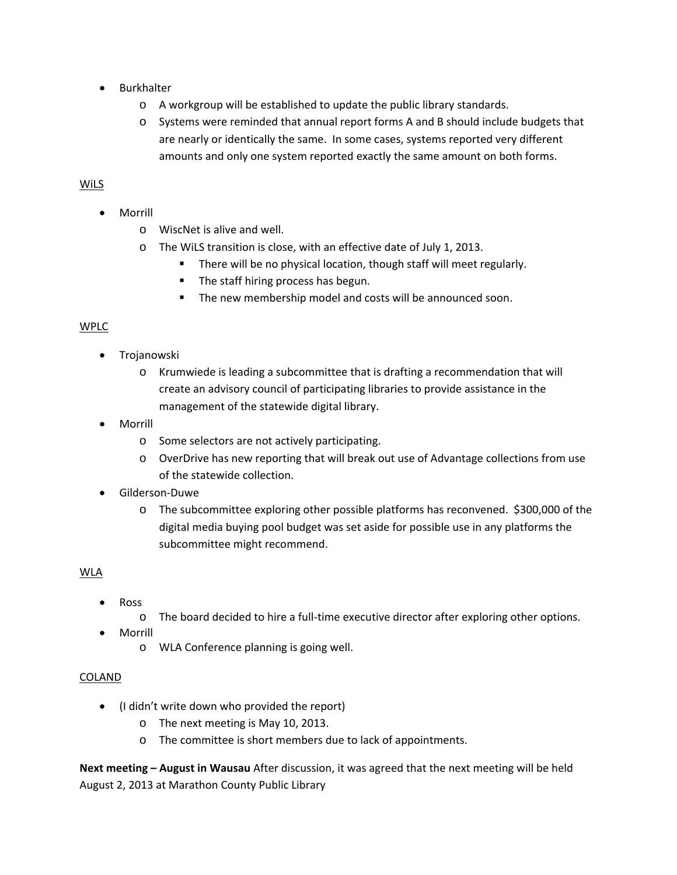- Burkhalter
	- o A workgroup will be established to update the public library standards.
	- o Systems were reminded that annual report forms A and B should include budgets that are nearly or identically the same. In some cases, systems reported very different amounts and only one system reported exactly the same amount on both forms.

# WiLS

- Morrill
	- o WiscNet is alive and well.
	- o The WiLS transition is close, with an effective date of July 1, 2013.
		- **There will be no physical location, though staff will meet regularly.**
		- **The staff hiring process has begun.**
		- **The new membership model and costs will be announced soon.**

## WPLC

- **•** Trojanowski
	- o Krumwiede is leading a subcommittee that is drafting a recommendation that will create an advisory council of participating libraries to provide assistance in the management of the statewide digital library.
- Morrill
	- o Some selectors are not actively participating.
	- o OverDrive has new reporting that will break out use of Advantage collections from use of the statewide collection.
- Gilderson‐Duwe
	- $\circ$  The subcommittee exploring other possible platforms has reconvened. \$300,000 of the digital media buying pool budget was set aside for possible use in any platforms the subcommittee might recommend.

## WLA

- Ross
	- o The board decided to hire a full‐time executive director after exploring other options.
- Morrill
	- o WLA Conference planning is going well.

#### COLAND

- (I didn't write down who provided the report)
	- o The next meeting is May 10, 2013.
	- o The committee is short members due to lack of appointments.

**Next meeting – August in Wausau** After discussion, it was agreed that the next meeting will be held August 2, 2013 at Marathon County Public Library